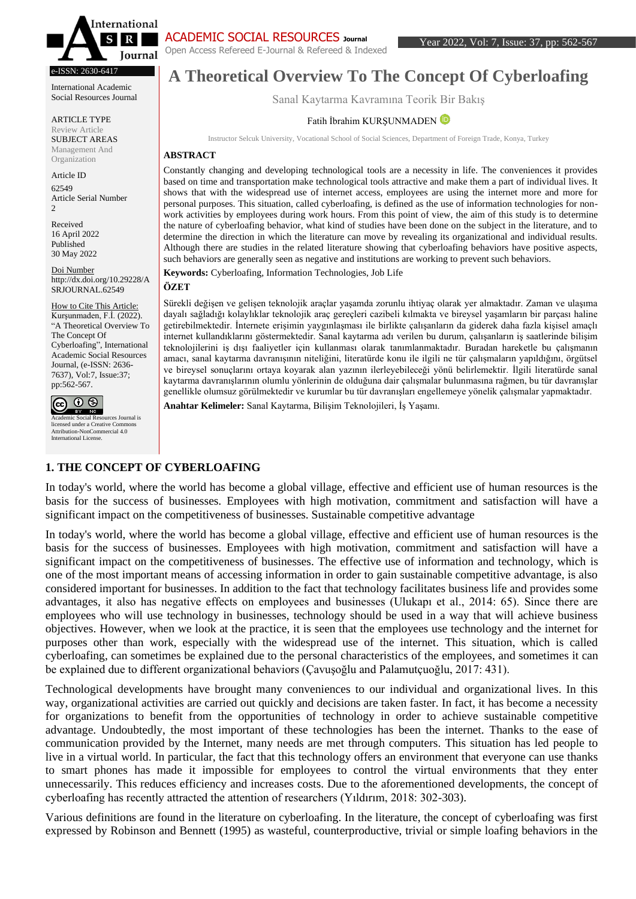

#### e-ISSN: 2630-6417

International Academic Social Resources Journal

ARTICLE TYPE Review Article SUBJECT AREAS Management And Organization

Article ID 62549 Article Serial Number  $\mathfrak{D}$ 

Received 16 April 2022 Published 30 May 2022

Doi Number http://dx.doi.org/10.29228/A SRJOURNAL.62549

How to Cite This Article: Kurşunmaden, F.İ. (2022). "A Theoretical Overview To The Concept Of Cyberloafing", International Academic Social Resources Journal, (e-ISSN: 2636- 7637), Vol:7, Issue:37; pp:562-567.



Academic Social Resources Journal is licensed under a Creative Commons Attribution-NonCommercial 4.0 International License.

## ACADEMIC SOCIAL RESOURCES **Journal**

Open Access Refereed E-Journal & Refereed & Indexed

# **A Theoretical Overview To The Concept Of Cyberloafing**

Sanal Kaytarma Kavramına Teorik Bir Bakış

#### Fatih İbrahim KURŞUNMADE[N](https://orcid.org/0000-0003-4045-9003)

Instructor Selcuk University, Vocational School of Social Sciences, Department of Foreign Trade, Konya, Turkey

#### **ABSTRACT**

Constantly changing and developing technological tools are a necessity in life. The conveniences it provides based on time and transportation make technological tools attractive and make them a part of individual lives. It shows that with the widespread use of internet access, employees are using the internet more and more for personal purposes. This situation, called cyberloafing, is defined as the use of information technologies for nonwork activities by employees during work hours. From this point of view, the aim of this study is to determine the nature of cyberloafing behavior, what kind of studies have been done on the subject in the literature, and to determine the direction in which the literature can move by revealing its organizational and individual results. Although there are studies in the related literature showing that cyberloafing behaviors have positive aspects, such behaviors are generally seen as negative and institutions are working to prevent such behaviors.

**Keywords:** Cyberloafing, Information Technologies, Job Life

#### **ÖZET**

Sürekli değişen ve gelişen teknolojik araçlar yaşamda zorunlu ihtiyaç olarak yer almaktadır. Zaman ve ulaşıma dayalı sağladığı kolaylıklar teknolojik araç gereçleri cazibeli kılmakta ve bireysel yaşamların bir parçası haline getirebilmektedir. İnternete erişimin yaygınlaşması ile birlikte çalışanların da giderek daha fazla kişisel amaçlı internet kullandıklarını göstermektedir. Sanal kaytarma adı verilen bu durum, çalışanların iş saatlerinde bilişim teknolojilerini iş dışı faaliyetler için kullanması olarak tanımlanmaktadır. Buradan hareketle bu çalışmanın amacı, sanal kaytarma davranışının niteliğini, literatürde konu ile ilgili ne tür çalışmaların yapıldığını, örgütsel ve bireysel sonuçlarını ortaya koyarak alan yazının ilerleyebileceği yönü belirlemektir. İlgili literatürde sanal kaytarma davranışlarının olumlu yönlerinin de olduğuna dair çalışmalar bulunmasına rağmen, bu tür davranışlar genellikle olumsuz görülmektedir ve kurumlar bu tür davranışları engellemeye yönelik çalışmalar yapmaktadır.

**Anahtar Kelimeler:** Sanal Kaytarma, Bilişim Teknolojileri, İş Yaşamı.

### **1. THE CONCEPT OF CYBERLOAFING**

In today's world, where the world has become a global village, effective and efficient use of human resources is the basis for the success of businesses. Employees with high motivation, commitment and satisfaction will have a significant impact on the competitiveness of businesses. Sustainable competitive advantage

In today's world, where the world has become a global village, effective and efficient use of human resources is the basis for the success of businesses. Employees with high motivation, commitment and satisfaction will have a significant impact on the competitiveness of businesses. The effective use of information and technology, which is one of the most important means of accessing information in order to gain sustainable competitive advantage, is also considered important for businesses. In addition to the fact that technology facilitates business life and provides some advantages, it also has negative effects on employees and businesses (Ulukapı et al., 2014: 65). Since there are employees who will use technology in businesses, technology should be used in a way that will achieve business objectives. However, when we look at the practice, it is seen that the employees use technology and the internet for purposes other than work, especially with the widespread use of the internet. This situation, which is called cyberloafing, can sometimes be explained due to the personal characteristics of the employees, and sometimes it can be explained due to different organizational behaviors (Çavuşoğlu and Palamutçuoğlu, 2017: 431).

Technological developments have brought many conveniences to our individual and organizational lives. In this way, organizational activities are carried out quickly and decisions are taken faster. In fact, it has become a necessity for organizations to benefit from the opportunities of technology in order to achieve sustainable competitive advantage. Undoubtedly, the most important of these technologies has been the internet. Thanks to the ease of communication provided by the Internet, many needs are met through computers. This situation has led people to live in a virtual world. In particular, the fact that this technology offers an environment that everyone can use thanks to smart phones has made it impossible for employees to control the virtual environments that they enter unnecessarily. This reduces efficiency and increases costs. Due to the aforementioned developments, the concept of cyberloafing has recently attracted the attention of researchers (Yıldırım, 2018: 302-303).

Various definitions are found in the literature on cyberloafing. In the literature, the concept of cyberloafing was first expressed by Robinson and Bennett (1995) as wasteful, counterproductive, trivial or simple loafing behaviors in the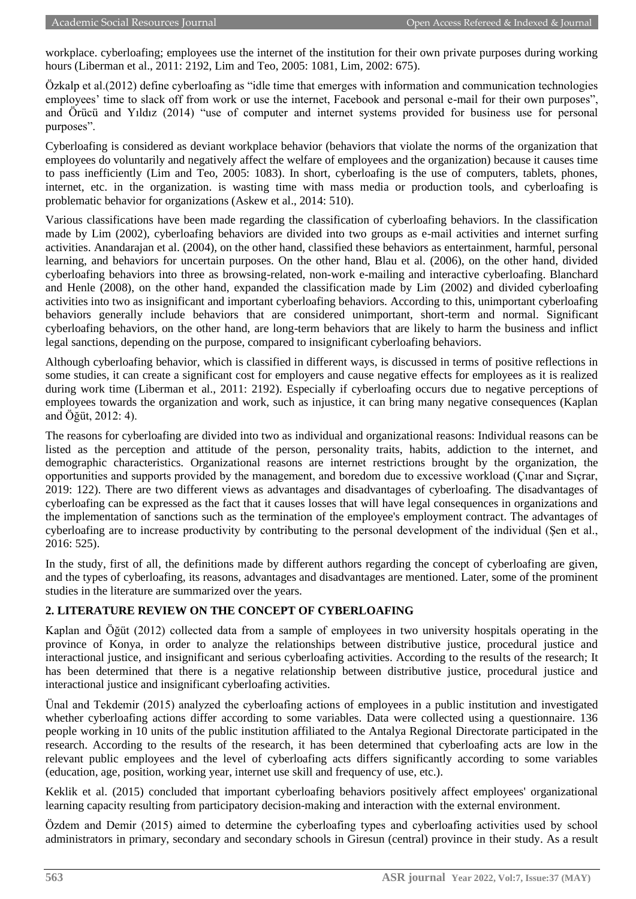workplace. cyberloafing; employees use the internet of the institution for their own private purposes during working hours (Liberman et al., 2011: 2192, Lim and Teo, 2005: 1081, Lim, 2002: 675).

Özkalp et al.(2012) define cyberloafing as "idle time that emerges with information and communication technologies employees' time to slack off from work or use the internet, Facebook and personal e-mail for their own purposes", and Örücü and Yıldız (2014) "use of computer and internet systems provided for business use for personal purposes".

Cyberloafing is considered as deviant workplace behavior (behaviors that violate the norms of the organization that employees do voluntarily and negatively affect the welfare of employees and the organization) because it causes time to pass inefficiently (Lim and Teo, 2005: 1083). In short, cyberloafing is the use of computers, tablets, phones, internet, etc. in the organization. is wasting time with mass media or production tools, and cyberloafing is problematic behavior for organizations (Askew et al., 2014: 510).

Various classifications have been made regarding the classification of cyberloafing behaviors. In the classification made by Lim (2002), cyberloafing behaviors are divided into two groups as e-mail activities and internet surfing activities. Anandarajan et al. (2004), on the other hand, classified these behaviors as entertainment, harmful, personal learning, and behaviors for uncertain purposes. On the other hand, Blau et al. (2006), on the other hand, divided cyberloafing behaviors into three as browsing-related, non-work e-mailing and interactive cyberloafing. Blanchard and Henle (2008), on the other hand, expanded the classification made by Lim (2002) and divided cyberloafing activities into two as insignificant and important cyberloafing behaviors. According to this, unimportant cyberloafing behaviors generally include behaviors that are considered unimportant, short-term and normal. Significant cyberloafing behaviors, on the other hand, are long-term behaviors that are likely to harm the business and inflict legal sanctions, depending on the purpose, compared to insignificant cyberloafing behaviors.

Although cyberloafing behavior, which is classified in different ways, is discussed in terms of positive reflections in some studies, it can create a significant cost for employers and cause negative effects for employees as it is realized during work time (Liberman et al., 2011: 2192). Especially if cyberloafing occurs due to negative perceptions of employees towards the organization and work, such as injustice, it can bring many negative consequences (Kaplan and Öğüt, 2012: 4).

The reasons for cyberloafing are divided into two as individual and organizational reasons: Individual reasons can be listed as the perception and attitude of the person, personality traits, habits, addiction to the internet, and demographic characteristics. Organizational reasons are internet restrictions brought by the organization, the opportunities and supports provided by the management, and boredom due to excessive workload (Çınar and Sıçrar, 2019: 122). There are two different views as advantages and disadvantages of cyberloafing. The disadvantages of cyberloafing can be expressed as the fact that it causes losses that will have legal consequences in organizations and the implementation of sanctions such as the termination of the employee's employment contract. The advantages of cyberloafing are to increase productivity by contributing to the personal development of the individual (Şen et al., 2016: 525).

In the study, first of all, the definitions made by different authors regarding the concept of cyberloafing are given, and the types of cyberloafing, its reasons, advantages and disadvantages are mentioned. Later, some of the prominent studies in the literature are summarized over the years.

### **2. LITERATURE REVIEW ON THE CONCEPT OF CYBERLOAFING**

Kaplan and Öğüt (2012) collected data from a sample of employees in two university hospitals operating in the province of Konya, in order to analyze the relationships between distributive justice, procedural justice and interactional justice, and insignificant and serious cyberloafing activities. According to the results of the research; It has been determined that there is a negative relationship between distributive justice, procedural justice and interactional justice and insignificant cyberloafing activities.

Ünal and Tekdemir (2015) analyzed the cyberloafing actions of employees in a public institution and investigated whether cyberloafing actions differ according to some variables. Data were collected using a questionnaire. 136 people working in 10 units of the public institution affiliated to the Antalya Regional Directorate participated in the research. According to the results of the research, it has been determined that cyberloafing acts are low in the relevant public employees and the level of cyberloafing acts differs significantly according to some variables (education, age, position, working year, internet use skill and frequency of use, etc.).

Keklik et al. (2015) concluded that important cyberloafing behaviors positively affect employees' organizational learning capacity resulting from participatory decision-making and interaction with the external environment.

Özdem and Demir (2015) aimed to determine the cyberloafing types and cyberloafing activities used by school administrators in primary, secondary and secondary schools in Giresun (central) province in their study. As a result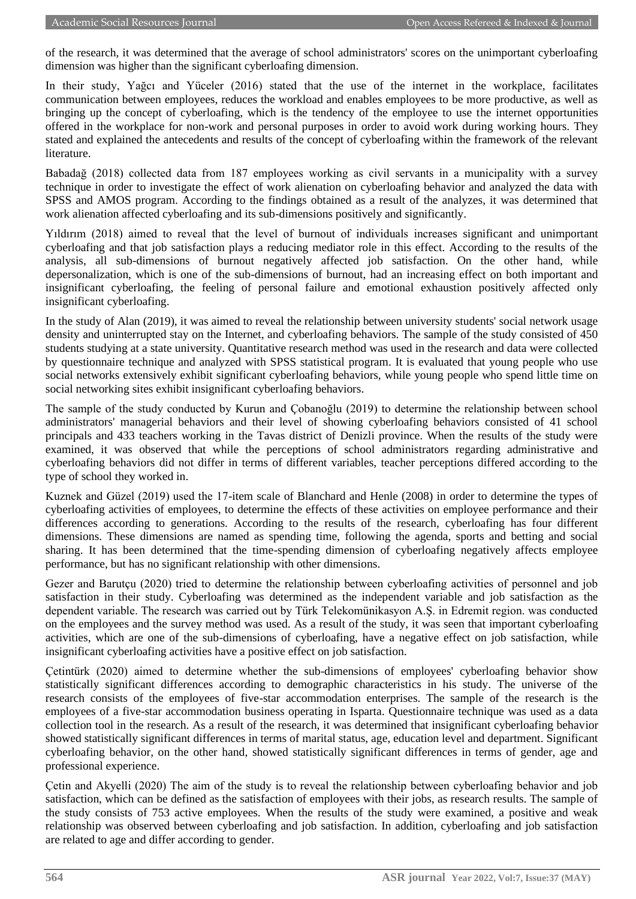of the research, it was determined that the average of school administrators' scores on the unimportant cyberloafing dimension was higher than the significant cyberloafing dimension.

In their study, Yağcı and Yüceler (2016) stated that the use of the internet in the workplace, facilitates communication between employees, reduces the workload and enables employees to be more productive, as well as bringing up the concept of cyberloafing, which is the tendency of the employee to use the internet opportunities offered in the workplace for non-work and personal purposes in order to avoid work during working hours. They stated and explained the antecedents and results of the concept of cyberloafing within the framework of the relevant literature.

Babadağ (2018) collected data from 187 employees working as civil servants in a municipality with a survey technique in order to investigate the effect of work alienation on cyberloafing behavior and analyzed the data with SPSS and AMOS program. According to the findings obtained as a result of the analyzes, it was determined that work alienation affected cyberloafing and its sub-dimensions positively and significantly.

Yıldırım (2018) aimed to reveal that the level of burnout of individuals increases significant and unimportant cyberloafing and that job satisfaction plays a reducing mediator role in this effect. According to the results of the analysis, all sub-dimensions of burnout negatively affected job satisfaction. On the other hand, while depersonalization, which is one of the sub-dimensions of burnout, had an increasing effect on both important and insignificant cyberloafing, the feeling of personal failure and emotional exhaustion positively affected only insignificant cyberloafing.

In the study of Alan (2019), it was aimed to reveal the relationship between university students' social network usage density and uninterrupted stay on the Internet, and cyberloafing behaviors. The sample of the study consisted of 450 students studying at a state university. Quantitative research method was used in the research and data were collected by questionnaire technique and analyzed with SPSS statistical program. It is evaluated that young people who use social networks extensively exhibit significant cyberloafing behaviors, while young people who spend little time on social networking sites exhibit insignificant cyberloafing behaviors.

The sample of the study conducted by Kurun and Çobanoğlu (2019) to determine the relationship between school administrators' managerial behaviors and their level of showing cyberloafing behaviors consisted of 41 school principals and 433 teachers working in the Tavas district of Denizli province. When the results of the study were examined, it was observed that while the perceptions of school administrators regarding administrative and cyberloafing behaviors did not differ in terms of different variables, teacher perceptions differed according to the type of school they worked in.

Kuznek and Güzel (2019) used the 17-item scale of Blanchard and Henle (2008) in order to determine the types of cyberloafing activities of employees, to determine the effects of these activities on employee performance and their differences according to generations. According to the results of the research, cyberloafing has four different dimensions. These dimensions are named as spending time, following the agenda, sports and betting and social sharing. It has been determined that the time-spending dimension of cyberloafing negatively affects employee performance, but has no significant relationship with other dimensions.

Gezer and Barutçu (2020) tried to determine the relationship between cyberloafing activities of personnel and job satisfaction in their study. Cyberloafing was determined as the independent variable and job satisfaction as the dependent variable. The research was carried out by Türk Telekomünikasyon A.Ş. in Edremit region. was conducted on the employees and the survey method was used. As a result of the study, it was seen that important cyberloafing activities, which are one of the sub-dimensions of cyberloafing, have a negative effect on job satisfaction, while insignificant cyberloafing activities have a positive effect on job satisfaction.

Çetintürk (2020) aimed to determine whether the sub-dimensions of employees' cyberloafing behavior show statistically significant differences according to demographic characteristics in his study. The universe of the research consists of the employees of five-star accommodation enterprises. The sample of the research is the employees of a five-star accommodation business operating in Isparta. Questionnaire technique was used as a data collection tool in the research. As a result of the research, it was determined that insignificant cyberloafing behavior showed statistically significant differences in terms of marital status, age, education level and department. Significant cyberloafing behavior, on the other hand, showed statistically significant differences in terms of gender, age and professional experience.

Çetin and Akyelli (2020) The aim of the study is to reveal the relationship between cyberloafing behavior and job satisfaction, which can be defined as the satisfaction of employees with their jobs, as research results. The sample of the study consists of 753 active employees. When the results of the study were examined, a positive and weak relationship was observed between cyberloafing and job satisfaction. In addition, cyberloafing and job satisfaction are related to age and differ according to gender.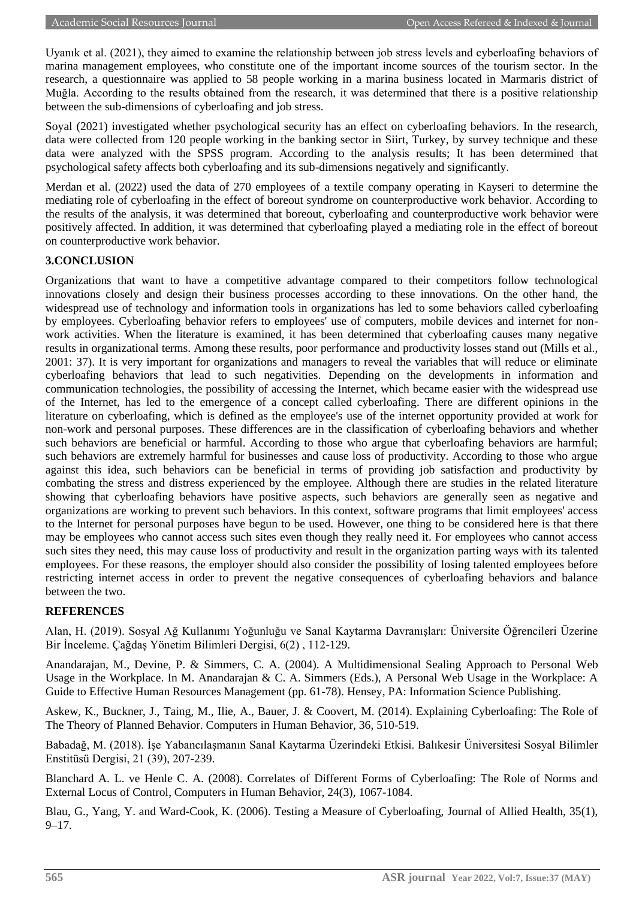Uyanık et al. (2021), they aimed to examine the relationship between job stress levels and cyberloafing behaviors of marina management employees, who constitute one of the important income sources of the tourism sector. In the research, a questionnaire was applied to 58 people working in a marina business located in Marmaris district of Muğla. According to the results obtained from the research, it was determined that there is a positive relationship between the sub-dimensions of cyberloafing and job stress.

Soyal (2021) investigated whether psychological security has an effect on cyberloafing behaviors. In the research, data were collected from 120 people working in the banking sector in Siirt, Turkey, by survey technique and these data were analyzed with the SPSS program. According to the analysis results; It has been determined that psychological safety affects both cyberloafing and its sub-dimensions negatively and significantly.

Merdan et al. (2022) used the data of 270 employees of a textile company operating in Kayseri to determine the mediating role of cyberloafing in the effect of boreout syndrome on counterproductive work behavior. According to the results of the analysis, it was determined that boreout, cyberloafing and counterproductive work behavior were positively affected. In addition, it was determined that cyberloafing played a mediating role in the effect of boreout on counterproductive work behavior.

### **3.CONCLUSION**

Organizations that want to have a competitive advantage compared to their competitors follow technological innovations closely and design their business processes according to these innovations. On the other hand, the widespread use of technology and information tools in organizations has led to some behaviors called cyberloafing by employees. Cyberloafing behavior refers to employees' use of computers, mobile devices and internet for nonwork activities. When the literature is examined, it has been determined that cyberloafing causes many negative results in organizational terms. Among these results, poor performance and productivity losses stand out (Mills et al., 2001: 37). It is very important for organizations and managers to reveal the variables that will reduce or eliminate cyberloafing behaviors that lead to such negativities. Depending on the developments in information and communication technologies, the possibility of accessing the Internet, which became easier with the widespread use of the Internet, has led to the emergence of a concept called cyberloafing. There are different opinions in the literature on cyberloafing, which is defined as the employee's use of the internet opportunity provided at work for non-work and personal purposes. These differences are in the classification of cyberloafing behaviors and whether such behaviors are beneficial or harmful. According to those who argue that cyberloafing behaviors are harmful; such behaviors are extremely harmful for businesses and cause loss of productivity. According to those who argue against this idea, such behaviors can be beneficial in terms of providing job satisfaction and productivity by combating the stress and distress experienced by the employee. Although there are studies in the related literature showing that cyberloafing behaviors have positive aspects, such behaviors are generally seen as negative and organizations are working to prevent such behaviors. In this context, software programs that limit employees' access to the Internet for personal purposes have begun to be used. However, one thing to be considered here is that there may be employees who cannot access such sites even though they really need it. For employees who cannot access such sites they need, this may cause loss of productivity and result in the organization parting ways with its talented employees. For these reasons, the employer should also consider the possibility of losing talented employees before restricting internet access in order to prevent the negative consequences of cyberloafing behaviors and balance between the two.

### **REFERENCES**

Alan, H. (2019). Sosyal Ağ Kullanımı Yoğunluğu ve Sanal Kaytarma Davranışları: Üniversite Öğrencileri Üzerine Bir İnceleme. Çağdaş Yönetim Bilimleri Dergisi, 6(2) , 112-129.

Anandarajan, M., Devine, P. & Simmers, C. A. (2004). A Multidimensional Sealing Approach to Personal Web Usage in the Workplace. In M. Anandarajan & C. A. Simmers (Eds.), A Personal Web Usage in the Workplace: A Guide to Effective Human Resources Management (pp. 61-78). Hensey, PA: Information Science Publishing.

Askew, K., Buckner, J., Taing, M., Ilie, A., Bauer, J. & Coovert, M. (2014). Explaining Cyberloafing: The Role of The Theory of Planned Behavior. Computers in Human Behavior, 36, 510-519.

Babadağ, M. (2018). İşe Yabancılaşmanın Sanal Kaytarma Üzerindeki Etkisi. Balıkesir Üniversitesi Sosyal Bilimler Enstitüsü Dergisi, 21 (39), 207-239.

Blanchard A. L. ve Henle C. A. (2008). Correlates of Different Forms of Cyberloafing: The Role of Norms and External Locus of Control, Computers in Human Behavior, 24(3), 1067-1084.

Blau, G., Yang, Y. and Ward-Cook, K. (2006). Testing a Measure of Cyberloafing, Journal of Allied Health, 35(1),  $9 - 17$ .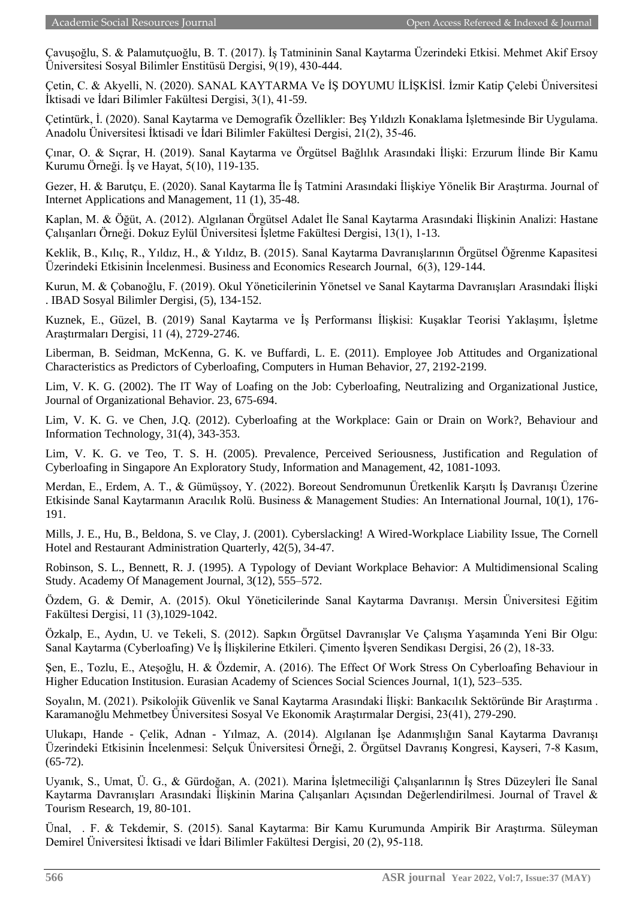Çavuşoğlu, S. & Palamutçuoğlu, B. T. (2017). İş Tatmininin Sanal Kaytarma Üzerindeki Etkisi. Mehmet Akif Ersoy Üniversitesi Sosyal Bilimler Enstitüsü Dergisi, 9(19), 430-444.

Çetin, C. & Akyelli, N. (2020). SANAL KAYTARMA Ve İŞ DOYUMU İLİŞKİSİ. İzmir Katip Çelebi Üniversitesi İktisadi ve İdari Bilimler Fakültesi Dergisi, 3(1), 41-59.

Çetintürk, İ. (2020). Sanal Kaytarma ve Demografik Özellikler: Beş Yıldızlı Konaklama İşletmesinde Bir Uygulama. Anadolu Üniversitesi İktisadi ve İdari Bilimler Fakültesi Dergisi, 21(2), 35-46.

Çınar, O. & Sıçrar, H. (2019). Sanal Kaytarma ve Örgütsel Bağlılık Arasındaki İlişki: Erzurum İlinde Bir Kamu Kurumu Örneği. İş ve Hayat, 5(10), 119-135.

Gezer, H. & Barutçu, E. (2020). Sanal Kaytarma İle İş Tatmini Arasındaki İlişkiye Yönelik Bir Araştırma. Journal of Internet Applications and Management, 11 (1), 35-48.

Kaplan, M. & Öğüt, A. (2012). Algılanan Örgütsel Adalet İle Sanal Kaytarma Arasındaki İlişkinin Analizi: Hastane Çalışanları Örneği. Dokuz Eylül Üniversitesi İşletme Fakültesi Dergisi, 13(1), 1-13.

Keklik, B., Kılıç, R., Yıldız, H., & Yıldız, B. (2015). Sanal Kaytarma Davranışlarının Örgütsel Öğrenme Kapasitesi Üzerindeki Etkisinin İncelenmesi. Business and Economics Research Journal, 6(3), 129-144.

Kurun, M. & Çobanoğlu, F. (2019). Okul Yöneticilerinin Yönetsel ve Sanal Kaytarma Davranışları Arasındaki İlişki . IBAD Sosyal Bilimler Dergisi, (5), 134-152.

Kuznek, E., Güzel, B. (2019) Sanal Kaytarma ve İş Performansı İlişkisi: Kuşaklar Teorisi Yaklaşımı, İşletme Araştırmaları Dergisi, 11 (4), 2729-2746.

Liberman, B. Seidman, McKenna, G. K. ve Buffardi, L. E. (2011). Employee Job Attitudes and Organizational Characteristics as Predictors of Cyberloafing, Computers in Human Behavior, 27, 2192-2199.

Lim, V. K. G. (2002). The IT Way of Loafing on the Job: Cyberloafing, Neutralizing and Organizational Justice, Journal of Organizational Behavior. 23, 675-694.

Lim, V. K. G. ve Chen, J.Q. (2012). Cyberloafing at the Workplace: Gain or Drain on Work?, Behaviour and Information Technology, 31(4), 343-353.

Lim, V. K. G. ve Teo, T. S. H. (2005). Prevalence, Perceived Seriousness, Justification and Regulation of Cyberloafing in Singapore An Exploratory Study, Information and Management, 42, 1081-1093.

Merdan, E., Erdem, A. T., & Gümüşsoy, Y. (2022). Boreout Sendromunun Üretkenlik Karşıtı İş Davranışı Üzerine Etkisinde Sanal Kaytarmanın Aracılık Rolü. Business & Management Studies: An International Journal, 10(1), 176- 191.

Mills, J. E., Hu, B., Beldona, S. ve Clay, J. (2001). Cyberslacking! A Wired-Workplace Liability Issue, The Cornell Hotel and Restaurant Administration Quarterly, 42(5), 34-47.

Robinson, S. L., Bennett, R. J. (1995). A Typology of Deviant Workplace Behavior: A Multidimensional Scaling Study. Academy Of Management Journal, 3(12), 555–572.

Özdem, G. & Demir, A. (2015). Okul Yöneticilerinde Sanal Kaytarma Davranışı. Mersin Üniversitesi Eğitim Fakültesi Dergisi, 11 (3),1029-1042.

Özkalp, E., Aydın, U. ve Tekeli, S. (2012). Sapkın Örgütsel Davranışlar Ve Çalışma Yaşamında Yeni Bir Olgu: Sanal Kaytarma (Cyberloafing) Ve İş İlişkilerine Etkileri. Çimento İşveren Sendikası Dergisi, 26 (2), 18-33.

Şen, E., Tozlu, E., Ateşoğlu, H. & Özdemir, A. (2016). The Effect Of Work Stress On Cyberloafing Behaviour in Higher Education Institusion. Eurasian Academy of Sciences Social Sciences Journal, 1(1), 523–535.

Soyalın, M. (2021). Psikolojik Güvenlik ve Sanal Kaytarma Arasındaki İlişki: Bankacılık Sektöründe Bir Araştırma . Karamanoğlu Mehmetbey Üniversitesi Sosyal Ve Ekonomik Araştırmalar Dergisi, 23(41), 279-290.

Ulukapı, Hande - Çelik, Adnan - Yılmaz, A. (2014). Algılanan İşe Adanmışlığın Sanal Kaytarma Davranışı Üzerindeki Etkisinin İncelenmesi: Selçuk Üniversitesi Örneği, 2. Örgütsel Davranış Kongresi, Kayseri, 7-8 Kasım, (65-72).

Uyanık, S., Umat, Ü. G., & Gürdoğan, A. (2021). Marina İşletmeciliği Çalışanlarının İş Stres Düzeyleri İle Sanal Kaytarma Davranışları Arasındaki İlişkinin Marina Çalışanları Açısından Değerlendirilmesi. Journal of Travel & Tourism Research, 19, 80-101.

Ünal, . F. & Tekdemir, S. (2015). Sanal Kaytarma: Bir Kamu Kurumunda Ampirik Bir Araştırma. Süleyman Demirel Üniversitesi İktisadi ve İdari Bilimler Fakültesi Dergisi, 20 (2), 95-118.